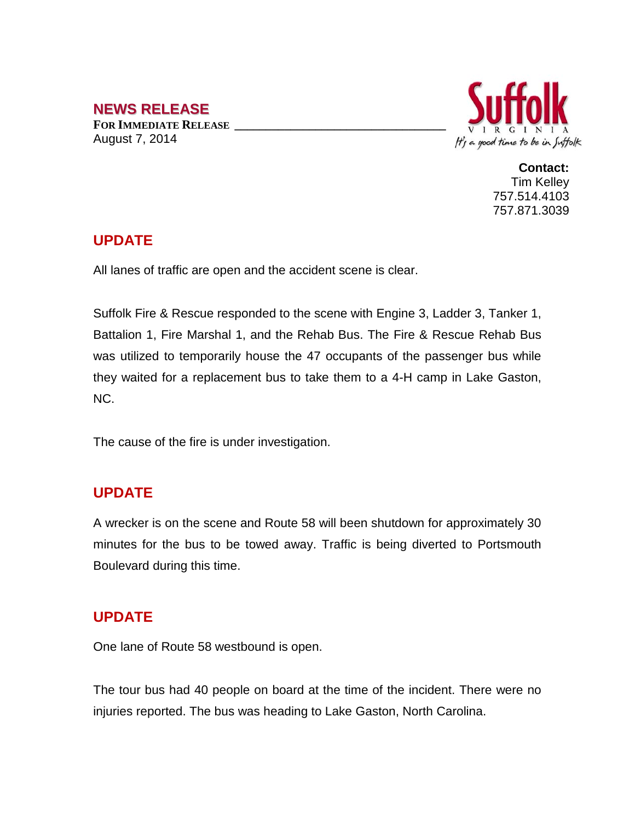# **NEWS RELEASE**

**FOR IMMEDIATE RELEASE \_\_\_\_\_\_\_\_\_\_\_\_\_\_\_\_\_\_\_\_\_\_\_\_\_\_\_\_\_\_\_\_\_\_** August 7, 2014



**Contact:** Tim Kelley 757.514.4103 757.871.3039

### **UPDATE**

All lanes of traffic are open and the accident scene is clear.

Suffolk Fire & Rescue responded to the scene with Engine 3, Ladder 3, Tanker 1, Battalion 1, Fire Marshal 1, and the Rehab Bus. The Fire & Rescue Rehab Bus was utilized to temporarily house the 47 occupants of the passenger bus while they waited for a replacement bus to take them to a 4-H camp in Lake Gaston, NC.

The cause of the fire is under investigation.

### **UPDATE**

A wrecker is on the scene and Route 58 will been shutdown for approximately 30 minutes for the bus to be towed away. Traffic is being diverted to Portsmouth Boulevard during this time.

# **UPDATE**

One lane of Route 58 westbound is open.

The tour bus had 40 people on board at the time of the incident. There were no injuries reported. The bus was heading to Lake Gaston, North Carolina.